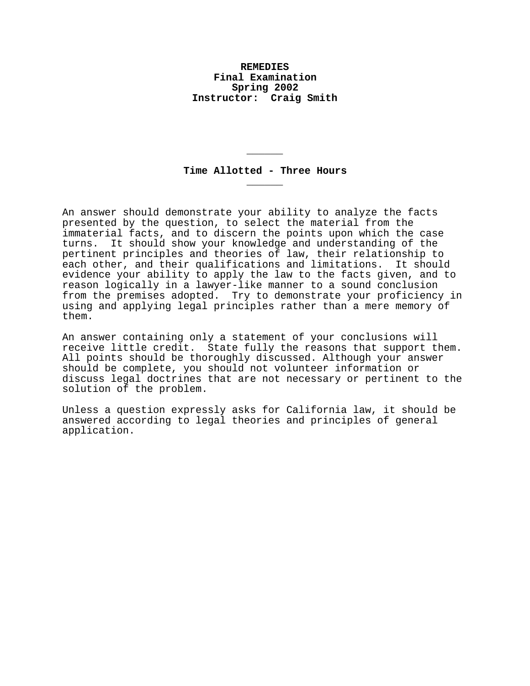## **REMEDIES Final Examination Spring 2002 Instructor: Craig Smith**

# **Time Allotted - Three Hours \_\_\_\_\_\_**

**\_\_\_\_\_\_**

An answer should demonstrate your ability to analyze the facts presented by the question, to select the material from the immaterial facts, and to discern the points upon which the case turns. It should show your knowledge and understanding of the pertinent principles and theories of law, their relationship to each other, and their qualifications and limitations. It should evidence your ability to apply the law to the facts given, and to reason logically in a lawyer-like manner to a sound conclusion from the premises adopted. Try to demonstrate your proficiency in using and applying legal principles rather than a mere memory of them.

An answer containing only a statement of your conclusions will receive little credit. State fully the reasons that support them. All points should be thoroughly discussed. Although your answer should be complete, you should not volunteer information or discuss legal doctrines that are not necessary or pertinent to the solution of the problem.

Unless a question expressly asks for California law, it should be answered according to legal theories and principles of general application.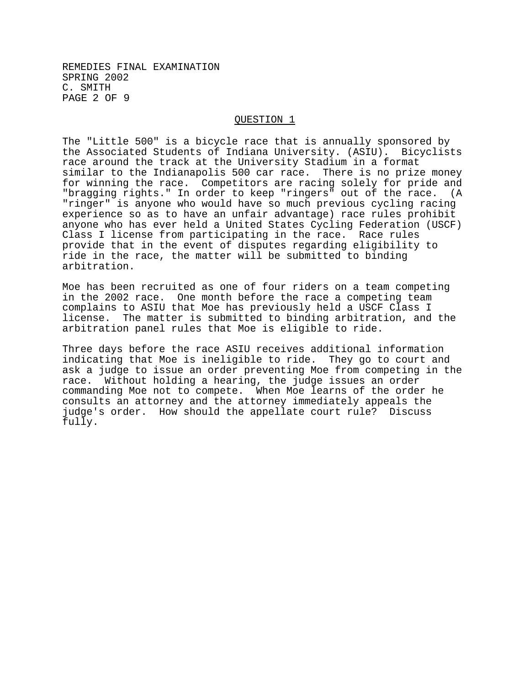REMEDIES FINAL EXAMINATION SPRING 2002 C. SMITH PAGE 2 OF 9

### QUESTION 1

The "Little 500" is a bicycle race that is annually sponsored by the Associated Students of Indiana University. (ASIU). Bicyclists race around the track at the University Stadium in a format similar to the Indianapolis 500 car race. There is no prize money for winning the race. Competitors are racing solely for pride and "bragging rights." In order to keep "ringers" out of the race. (A "ringer" is anyone who would have so much previous cycling racing experience so as to have an unfair advantage) race rules prohibit anyone who has ever held a United States Cycling Federation (USCF) Class I license from participating in the race. Race rules provide that in the event of disputes regarding eligibility to ride in the race, the matter will be submitted to binding arbitration.

Moe has been recruited as one of four riders on a team competing in the 2002 race. One month before the race a competing team complains to ASIU that Moe has previously held a USCF Class I license. The matter is submitted to binding arbitration, and the arbitration panel rules that Moe is eligible to ride.

Three days before the race ASIU receives additional information indicating that Moe is ineligible to ride. They go to court and ask a judge to issue an order preventing Moe from competing in the race. Without holding a hearing, the judge issues an order commanding Moe not to compete. When Moe learns of the order he consults an attorney and the attorney immediately appeals the judge's order. How should the appellate court rule? Discuss fully.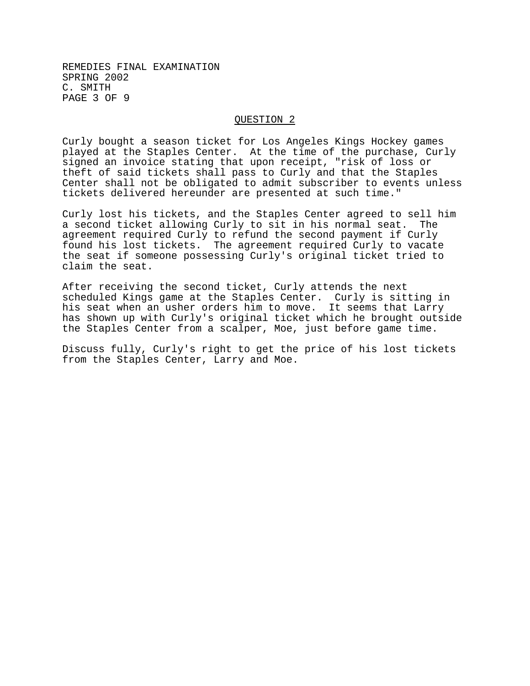REMEDIES FINAL EXAMINATION SPRING 2002 C. SMITH PAGE 3 OF 9

## QUESTION 2

Curly bought a season ticket for Los Angeles Kings Hockey games played at the Staples Center. At the time of the purchase, Curly signed an invoice stating that upon receipt, "risk of loss or theft of said tickets shall pass to Curly and that the Staples Center shall not be obligated to admit subscriber to events unless tickets delivered hereunder are presented at such time."

Curly lost his tickets, and the Staples Center agreed to sell him a second ticket allowing Curly to sit in his normal seat. The agreement required Curly to refund the second payment if Curly found his lost tickets. The agreement required Curly to vacate the seat if someone possessing Curly's original ticket tried to claim the seat.

After receiving the second ticket, Curly attends the next scheduled Kings game at the Staples Center. Curly is sitting in his seat when an usher orders him to move. It seems that Larry has shown up with Curly's original ticket which he brought outside the Staples Center from a scalper, Moe, just before game time.

Discuss fully, Curly's right to get the price of his lost tickets from the Staples Center, Larry and Moe.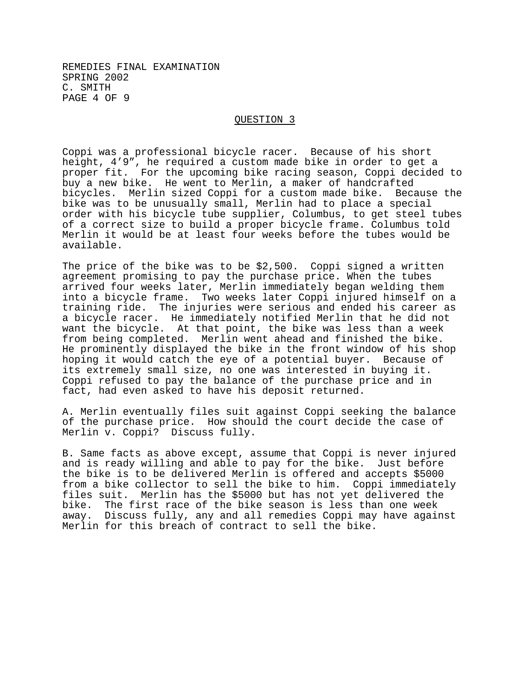## REMEDIES FINAL EXAMINATION SPRING 2002 C. SMITH PAGE 4 OF 9

#### QUESTION 3

Coppi was a professional bicycle racer. Because of his short height, 4'9", he required a custom made bike in order to get a proper fit. For the upcoming bike racing season, Coppi decided to buy a new bike. He went to Merlin, a maker of handcrafted bicycles. Merlin sized Coppi for a custom made bike. Because the bike was to be unusually small, Merlin had to place a special order with his bicycle tube supplier, Columbus, to get steel tubes of a correct size to build a proper bicycle frame. Columbus told Merlin it would be at least four weeks before the tubes would be available.

The price of the bike was to be \$2,500. Coppi signed a written agreement promising to pay the purchase price. When the tubes arrived four weeks later, Merlin immediately began welding them into a bicycle frame. Two weeks later Coppi injured himself on a training ride. The injuries were serious and ended his career as a bicycle racer. He immediately notified Merlin that he did not want the bicycle. At that point, the bike was less than a week from being completed. Merlin went ahead and finished the bike. He prominently displayed the bike in the front window of his shop hoping it would catch the eye of a potential buyer. Because of its extremely small size, no one was interested in buying it. Coppi refused to pay the balance of the purchase price and in fact, had even asked to have his deposit returned.

A. Merlin eventually files suit against Coppi seeking the balance of the purchase price. How should the court decide the case of Merlin v. Coppi? Discuss fully.

B. Same facts as above except, assume that Coppi is never injured and is ready willing and able to pay for the bike. Just before the bike is to be delivered Merlin is offered and accepts \$5000 from a bike collector to sell the bike to him. Coppi immediately files suit. Merlin has the \$5000 but has not yet delivered the bike. The first race of the bike season is less than one week away. Discuss fully, any and all remedies Coppi may have against Merlin for this breach of contract to sell the bike.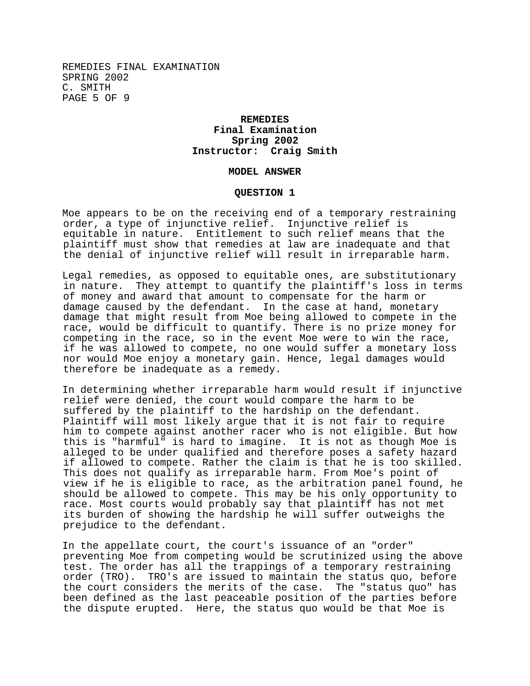REMEDIES FINAL EXAMINATION SPRING 2002 C. SMITH PAGE 5 OF 9

# **REMEDIES Final Examination Spring 2002 Instructor: Craig Smith**

#### **MODEL ANSWER**

### **QUESTION 1**

Moe appears to be on the receiving end of a temporary restraining order, a type of injunctive relief. Injunctive relief is equitable in nature. Entitlement to such relief means that the plaintiff must show that remedies at law are inadequate and that the denial of injunctive relief will result in irreparable harm.

Legal remedies, as opposed to equitable ones, are substitutionary in nature. They attempt to quantify the plaintiff's loss in terms of money and award that amount to compensate for the harm or damage caused by the defendant. In the case at hand, monetary damage that might result from Moe being allowed to compete in the race, would be difficult to quantify. There is no prize money for competing in the race, so in the event Moe were to win the race, if he was allowed to compete, no one would suffer a monetary loss nor would Moe enjoy a monetary gain. Hence, legal damages would therefore be inadequate as a remedy.

In determining whether irreparable harm would result if injunctive relief were denied, the court would compare the harm to be suffered by the plaintiff to the hardship on the defendant. Plaintiff will most likely argue that it is not fair to require him to compete against another racer who is not eligible. But how this is "harmful" is hard to imagine. It is not as though Moe is alleged to be under qualified and therefore poses a safety hazard if allowed to compete. Rather the claim is that he is too skilled. This does not qualify as irreparable harm. From Moe's point of view if he is eligible to race, as the arbitration panel found, he should be allowed to compete. This may be his only opportunity to race. Most courts would probably say that plaintiff has not met its burden of showing the hardship he will suffer outweighs the prejudice to the defendant.

In the appellate court, the court's issuance of an "order" preventing Moe from competing would be scrutinized using the above test. The order has all the trappings of a temporary restraining order (TRO). TRO's are issued to maintain the status quo, before the court considers the merits of the case. The "status quo" has been defined as the last peaceable position of the parties before the dispute erupted. Here, the status quo would be that Moe is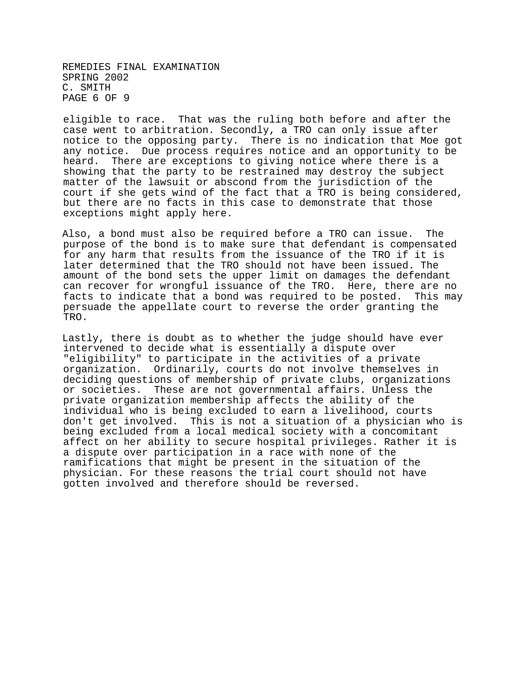REMEDIES FINAL EXAMINATION SPRING 2002 C. SMITH PAGE 6 OF 9

eligible to race. That was the ruling both before and after the case went to arbitration. Secondly, a TRO can only issue after notice to the opposing party. There is no indication that Moe got any notice. Due process requires notice and an opportunity to be heard. There are exceptions to giving notice where there is a showing that the party to be restrained may destroy the subject matter of the lawsuit or abscond from the jurisdiction of the court if she gets wind of the fact that a TRO is being considered, but there are no facts in this case to demonstrate that those exceptions might apply here.

Also, a bond must also be required before a TRO can issue. The purpose of the bond is to make sure that defendant is compensated for any harm that results from the issuance of the TRO if it is later determined that the TRO should not have been issued. The amount of the bond sets the upper limit on damages the defendant can recover for wrongful issuance of the TRO. Here, there are no facts to indicate that a bond was required to be posted. This may persuade the appellate court to reverse the order granting the TRO.

Lastly, there is doubt as to whether the judge should have ever intervened to decide what is essentially a dispute over "eligibility" to participate in the activities of a private organization. Ordinarily, courts do not involve themselves in deciding questions of membership of private clubs, organizations or societies. These are not governmental affairs. Unless the private organization membership affects the ability of the individual who is being excluded to earn a livelihood, courts don't get involved. This is not a situation of a physician who is being excluded from a local medical society with a concomitant affect on her ability to secure hospital privileges. Rather it is a dispute over participation in a race with none of the ramifications that might be present in the situation of the physician. For these reasons the trial court should not have gotten involved and therefore should be reversed.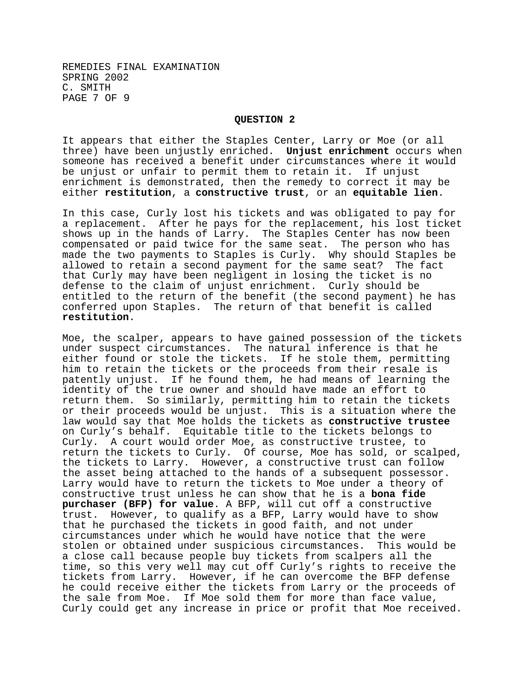## **QUESTION 2**

It appears that either the Staples Center, Larry or Moe (or all three) have been unjustly enriched. **Unjust enrichment** occurs when someone has received a benefit under circumstances where it would be unjust or unfair to permit them to retain it. If unjust enrichment is demonstrated, then the remedy to correct it may be either **restitution**, a **constructive trust**, or an **equitable lien**.

In this case, Curly lost his tickets and was obligated to pay for a replacement. After he pays for the replacement, his lost ticket shows up in the hands of Larry. The Staples Center has now been compensated or paid twice for the same seat. The person who has made the two payments to Staples is Curly. Why should Staples be allowed to retain a second payment for the same seat? The fact that Curly may have been negligent in losing the ticket is no defense to the claim of unjust enrichment. Curly should be entitled to the return of the benefit (the second payment) he has conferred upon Staples. The return of that benefit is called **restitution**.

Moe, the scalper, appears to have gained possession of the tickets under suspect circumstances. The natural inference is that he either found or stole the tickets. If he stole them, permitting him to retain the tickets or the proceeds from their resale is patently unjust. If he found them, he had means of learning the identity of the true owner and should have made an effort to return them. So similarly, permitting him to retain the tickets or their proceeds would be unjust. This is a situation where the law would say that Moe holds the tickets as **constructive trustee** on Curly's behalf. Equitable title to the tickets belongs to Curly. A court would order Moe, as constructive trustee, to return the tickets to Curly. Of course, Moe has sold, or scalped, the tickets to Larry. However, a constructive trust can follow the asset being attached to the hands of a subsequent possessor. Larry would have to return the tickets to Moe under a theory of constructive trust unless he can show that he is a **bona fide purchaser (BFP) for value**. A BFP, will cut off a constructive trust. However, to qualify as a BFP, Larry would have to show that he purchased the tickets in good faith, and not under circumstances under which he would have notice that the were stolen or obtained under suspicious circumstances. This would be a close call because people buy tickets from scalpers all the time, so this very well may cut off Curly's rights to receive the tickets from Larry. However, if he can overcome the BFP defense he could receive either the tickets from Larry or the proceeds of the sale from Moe. If Moe sold them for more than face value, Curly could get any increase in price or profit that Moe received.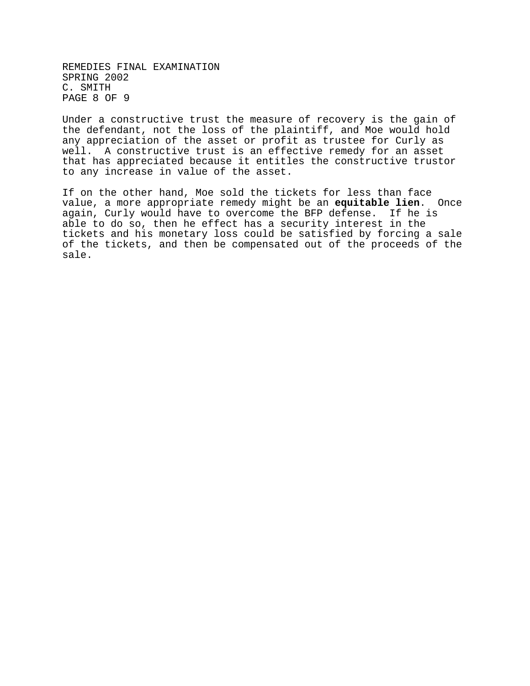REMEDIES FINAL EXAMINATION SPRING 2002 C. SMITH PAGE 8 OF 9

Under a constructive trust the measure of recovery is the gain of the defendant, not the loss of the plaintiff, and Moe would hold any appreciation of the asset or profit as trustee for Curly as well. A constructive trust is an effective remedy for an asset that has appreciated because it entitles the constructive trustor to any increase in value of the asset.

If on the other hand, Moe sold the tickets for less than face value, a more appropriate remedy might be an **equitable lien**. Once again, Curly would have to overcome the BFP defense. If he is able to do so, then he effect has a security interest in the tickets and his monetary loss could be satisfied by forcing a sale of the tickets, and then be compensated out of the proceeds of the sale.